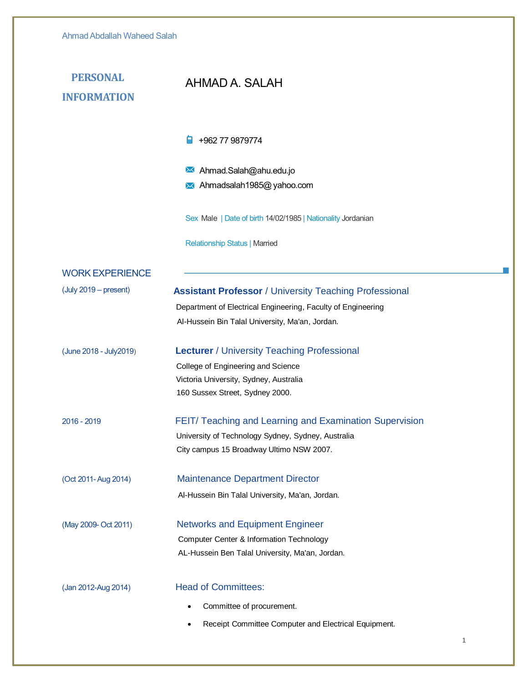| <b>PERSONAL</b><br><b>INFORMATION</b> | AHMAD A. SALAH                                                                                                                                                                   |
|---------------------------------------|----------------------------------------------------------------------------------------------------------------------------------------------------------------------------------|
|                                       | 的<br>+962 77 9879774                                                                                                                                                             |
|                                       | Ahmad.Salah@ahu.edu.jo<br>$\times$<br>M Ahmadsalah1985@ yahoo.com                                                                                                                |
|                                       | Sex Male   Date of birth 14/02/1985   Nationality Jordanian                                                                                                                      |
|                                       | <b>Relationship Status   Married</b>                                                                                                                                             |
| <b>WORK EXPERIENCE</b>                |                                                                                                                                                                                  |
| $($ July 2019 – present)              | <b>Assistant Professor / University Teaching Professional</b><br>Department of Electrical Engineering, Faculty of Engineering<br>Al-Hussein Bin Talal University, Ma'an, Jordan. |
| (June 2018 - July 2019)               | <b>Lecturer / University Teaching Professional</b><br>College of Engineering and Science<br>Victoria University, Sydney, Australia<br>160 Sussex Street, Sydney 2000.            |
| 2016 - 2019                           | FEIT/Teaching and Learning and Examination Supervision<br>University of Technology Sydney, Sydney, Australia<br>City campus 15 Broadway Ultimo NSW 2007.                         |
| (Oct 2011- Aug 2014)                  | <b>Maintenance Department Director</b><br>Al-Hussein Bin Talal University, Ma'an, Jordan.                                                                                        |
| (May 2009- Oct 2011)                  | <b>Networks and Equipment Engineer</b><br><b>Computer Center &amp; Information Technology</b><br>AL-Hussein Ben Talal University, Ma'an, Jordan.                                 |
| (Jan 2012-Aug 2014)                   | <b>Head of Committees:</b><br>Committee of procurement.<br>Receipt Committee Computer and Electrical Equipment.<br>1                                                             |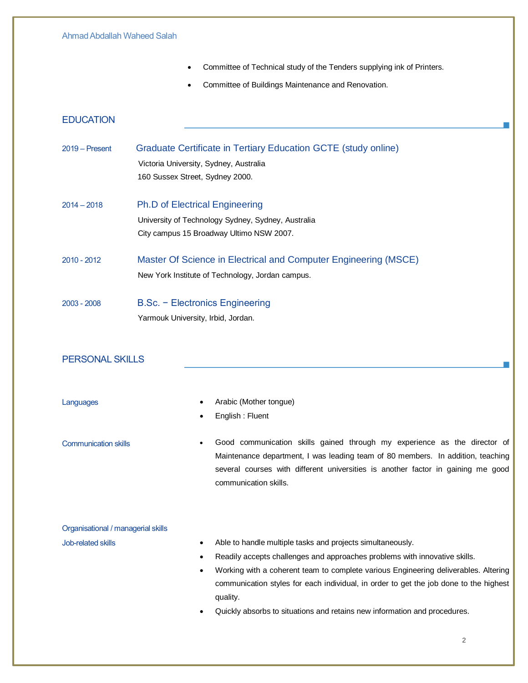Ahmad Abdallah Waheed Salah

- Committee of Technical study of the Tenders supplying ink of Printers.
- Committee of Buildings Maintenance and Renovation.

### **EDUCATION**

2019 – Present Graduate Certificate in Tertiary Education GCTE (study online)

 Victoria University, Sydney, Australia 160 Sussex Street, Sydney 2000.

2014 – 2018 Ph.D of Electrical Engineering University of Technology Sydney, Sydney, Australia City campus 15 Broadway Ultimo NSW 2007.

# 2010 - 2012 Master Of Science in Electrical and Computer Engineering (MSCE) New York Institute of Technology, Jordan campus.

2003 - 2008 B.Sc. − Electronics Engineering Yarmouk University, Irbid, Jordan.

### PERSONAL SKILLS

| Languages                          | ٠         | Arabic (Mother tongue)<br>English: Fluent                                                                                                                                                                                                                                 |
|------------------------------------|-----------|---------------------------------------------------------------------------------------------------------------------------------------------------------------------------------------------------------------------------------------------------------------------------|
| <b>Communication skills</b>        | $\bullet$ | Good communication skills gained through my experience as the director of<br>Maintenance department, I was leading team of 80 members. In addition, teaching<br>several courses with different universities is another factor in gaining me good<br>communication skills. |
| Organisational / managerial skills |           |                                                                                                                                                                                                                                                                           |
| Job-related skills                 | ٠         | Able to handle multiple tasks and projects simultaneously.                                                                                                                                                                                                                |
|                                    | ٠         | Readily accepts challenges and approaches problems with innovative skills.                                                                                                                                                                                                |
|                                    | $\bullet$ | Working with a coherent team to complete various Engineering deliverables. Altering                                                                                                                                                                                       |
|                                    |           | communication styles for each individual, in order to get the job done to the highest<br>quality.                                                                                                                                                                         |
|                                    |           | Quickly absorbs to situations and retains new information and procedures.                                                                                                                                                                                                 |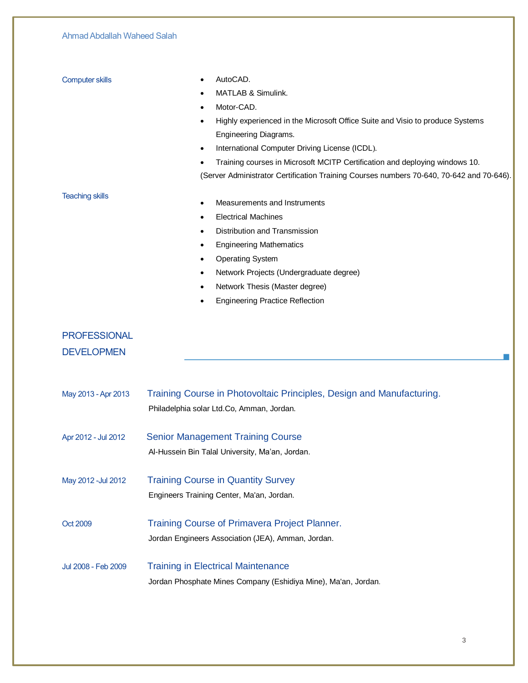| <b>Computer skills</b> | AutoCAD.                                                                                 |
|------------------------|------------------------------------------------------------------------------------------|
|                        |                                                                                          |
| ٠                      | <b>MATLAB &amp; Simulink.</b>                                                            |
|                        | Motor-CAD.                                                                               |
| $\bullet$              | Highly experienced in the Microsoft Office Suite and Visio to produce Systems            |
|                        | Engineering Diagrams.                                                                    |
| $\bullet$              | International Computer Driving License (ICDL).                                           |
|                        | Training courses in Microsoft MCITP Certification and deploying windows 10.              |
|                        | (Server Administrator Certification Training Courses numbers 70-640, 70-642 and 70-646). |
| <b>Teaching skills</b> |                                                                                          |
| ٠                      | Measurements and Instruments                                                             |
| ٠                      | <b>Electrical Machines</b>                                                               |
|                        | Distribution and Transmission                                                            |
| ٠                      | <b>Engineering Mathematics</b>                                                           |
| ٠                      | <b>Operating System</b>                                                                  |
| $\bullet$              | Network Projects (Undergraduate degree)                                                  |
| ٠                      | Network Thesis (Master degree)                                                           |
|                        | <b>Engineering Practice Reflection</b>                                                   |
|                        |                                                                                          |
| <b>PROFESSIONAL</b>    |                                                                                          |
| <b>DEVELOPMEN</b>      |                                                                                          |

| May 2013 - Apr 2013 | Training Course in Photovoltaic Principles, Design and Manufacturing.<br>Philadelphia solar Ltd.Co, Amman, Jordan. |
|---------------------|--------------------------------------------------------------------------------------------------------------------|
| Apr 2012 - Jul 2012 | <b>Senior Management Training Course</b><br>Al-Hussein Bin Talal University, Ma'an, Jordan.                        |
| May 2012 - Jul 2012 | <b>Training Course in Quantity Survey</b><br>Engineers Training Center, Ma'an, Jordan.                             |
| Oct 2009            | Training Course of Primavera Project Planner.<br>Jordan Engineers Association (JEA), Amman, Jordan.                |
| Jul 2008 - Feb 2009 | <b>Training in Electrical Maintenance</b><br>Jordan Phosphate Mines Company (Eshidiya Mine), Ma'an, Jordan.        |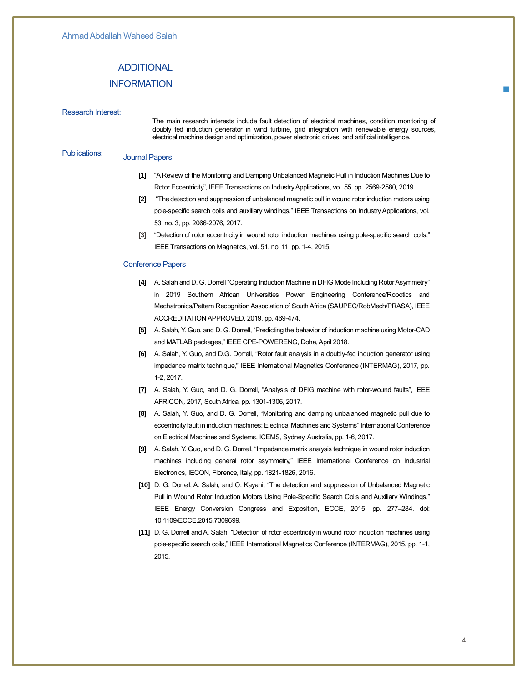#### ADDITIONAL

#### INFORMATION

Research Interest:

 doubly fed induction generator in wind turbine, grid integration with renewable energy sources, The main research interests include fault detection of electrical machines, condition monitoring of electrical machine design and optimization, power electronic drives, and artificial intelligence.

# Publications: Journal Papers

- **[1]** "A Review of the Monitoring and Damping Unbalanced Magnetic Pull in Induction Machines Due to Rotor Eccentricity", IEEE Transactions on Industry Applications, vol. 55, pp. 2569-2580, 2019.
- **[2]** "The detection and suppression of unbalanced magnetic pull in wound rotor induction motors using pole-specific search coils and auxiliary windings," IEEE Transactions on Industry Applications, vol. 53, no. 3, pp. 2066-2076, 2017.
- **[3]** "Detection of rotor eccentricity in wound rotor induction machines using pole-specific search coils," IEEE Transactions on Magnetics, vol. 51, no. 11, pp. 1-4, 2015.

#### Conference Papers

- **[4]** A. Salah and D. G. Dorrell "Operating Induction Machine in DFIG Mode Including Rotor Asymmetry" in 2019 Southern African Universities Power Engineering Conference/Robotics and Mechatronics/Pattern Recognition Association of South Africa (SAUPEC/RobMech/PRASA), IEEE ACCREDITATION APPROVED, 2019, pp. 469-474.
- **[5]** A. Salah, Y. Guo, and D. G. Dorrell, "Predicting the behavior of induction machine using Motor-CAD and MATLAB packages," IEEE CPE-POWERENG, Doha, April 2018.
- **[6]** A. Salah, Y. Guo, and D.G. Dorrell, "Rotor fault analysis in a doubly-fed induction generator using impedance matrix technique," IEEE International Magnetics Conference (INTERMAG), 2017, pp. 1-2, 2017.
- **[7]** A. Salah, Y. Guo, and D. G. Dorrell, "Analysis of DFIG machine with rotor-wound faults", IEEE AFRICON*,* 2017*,* South Africa, pp. 1301-1306, 2017.
- **[8]** A. Salah, Y. Guo, and D. G. Dorrell, "Monitoring and damping unbalanced magnetic pull due to eccentricity fault in induction machines: Electrical Machines and Systems" International Conference on Electrical Machines and Systems, ICEMS, Sydney, Australia, pp. 1-6, 2017.
- **[9]** A. Salah, Y. Guo, and D. G. Dorrell, "Impedance matrix analysis technique in wound rotor induction machines including general rotor asymmetry," IEEE International Conference on Industrial Electronics, IECON, Florence, Italy, pp. 1821-1826, 2016.
- **[10]** D. G. Dorrell, A. Salah, and O. Kayani, "The detection and suppression of Unbalanced Magnetic Pull in Wound Rotor Induction Motors Using Pole-Specific Search Coils and Auxiliary Windings," IEEE Energy Conversion Congress and Exposition, ECCE, 2015, pp. 277–284. doi: 10.1109/ECCE.2015.7309699.
- **[11]** D. G. Dorrell and A. Salah, "Detection of rotor eccentricity in wound rotor induction machines using pole-specific search coils," IEEE International Magnetics Conference (INTERMAG), 2015, pp. 1-1, 2015.